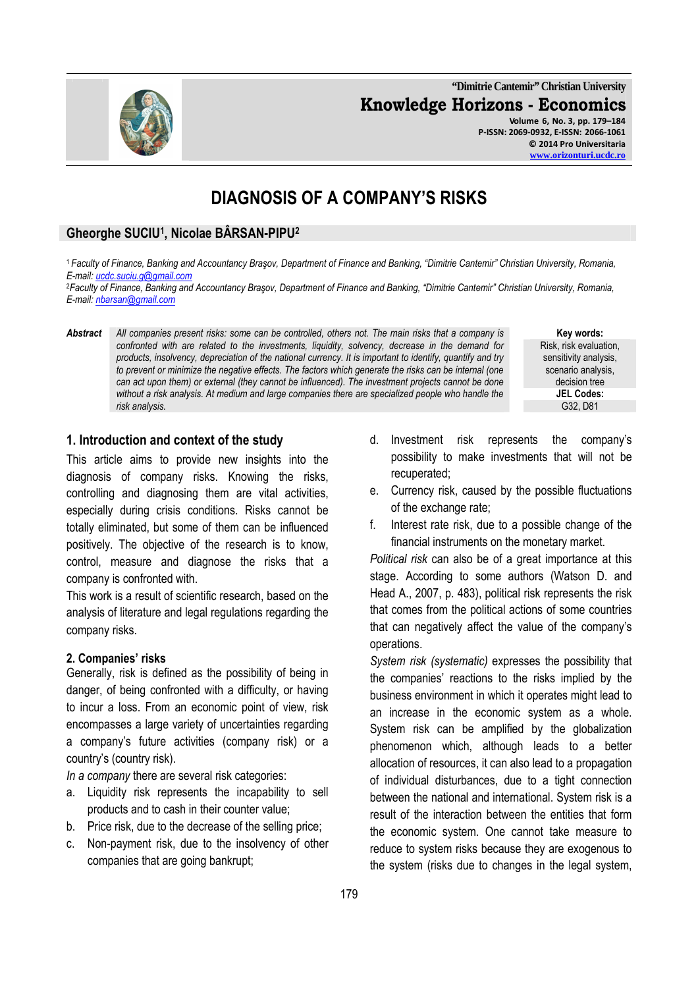**"Dimitrie Cantemir" Christian University Knowledge Horizons - Economics Volume 6, No. 3, pp. 179–184 P-ISSN: 2069-0932, E-ISSN: 2066-1061 © 2014 Pro Universitaria** 

# **DIAGNOSIS OF A COMPANY'S RISKS**

## **Gheorghe SUCIU<sup>1</sup> , Nicolae BÂRSAN-PIPU<sup>2</sup>**

<sup>1</sup>*Faculty of Finance, Banking and Accountancy Braşov, Department of Finance and Banking, "Dimitrie Cantemir" Christian University, Romania, E-mail: ucdc.suciu.g@gmail.com*

<sup>2</sup>*Faculty of Finance, Banking and Accountancy Braşov, Department of Finance and Banking, "Dimitrie Cantemir" Christian University, Romania, E-mail: nbarsan@gmail.com*

*Abstract All companies present risks: some can be controlled, others not. The main risks that a company is confronted with are related to the investments, liquidity, solvency, decrease in the demand for products, insolvency, depreciation of the national currency. It is important to identify, quantify and try to prevent or minimize the negative effects. The factors which generate the risks can be internal (one can act upon them) or external (they cannot be influenced). The investment projects cannot be done without a risk analysis. At medium and large companies there are specialized people who handle the risk analysis.* G32, D81

**Key words:**  Risk, risk evaluation, sensitivity analysis, scenario analysis, decision tree **JEL Codes:**

### **1. Introduction and context of the study**

This article aims to provide new insights into the diagnosis of company risks. Knowing the risks, controlling and diagnosing them are vital activities, especially during crisis conditions. Risks cannot be totally eliminated, but some of them can be influenced positively. The objective of the research is to know, control, measure and diagnose the risks that a company is confronted with.

This work is a result of scientific research, based on the analysis of literature and legal regulations regarding the company risks.

#### **2. Companies' risks**

Generally, risk is defined as the possibility of being in danger, of being confronted with a difficulty, or having to incur a loss. From an economic point of view, risk encompasses a large variety of uncertainties regarding a company's future activities (company risk) or a country's (country risk).

*In a company* there are several risk categories:

- a. Liquidity risk represents the incapability to sell products and to cash in their counter value;
- b. Price risk, due to the decrease of the selling price;
- c. Non-payment risk, due to the insolvency of other companies that are going bankrupt;
- d. Investment risk represents the company's possibility to make investments that will not be recuperated;
- e. Currency risk, caused by the possible fluctuations of the exchange rate;
- f. Interest rate risk, due to a possible change of the financial instruments on the monetary market.

*Political risk* can also be of a great importance at this stage. According to some authors (Watson D. and Head A., 2007, p. 483), political risk represents the risk that comes from the political actions of some countries that can negatively affect the value of the company's operations.

*System risk (systematic)* expresses the possibility that the companies' reactions to the risks implied by the business environment in which it operates might lead to an increase in the economic system as a whole. System risk can be amplified by the globalization phenomenon which, although leads to a better allocation of resources, it can also lead to a propagation of individual disturbances, due to a tight connection between the national and international. System risk is a result of the interaction between the entities that form the economic system. One cannot take measure to reduce to system risks because they are exogenous to the system (risks due to changes in the legal system,

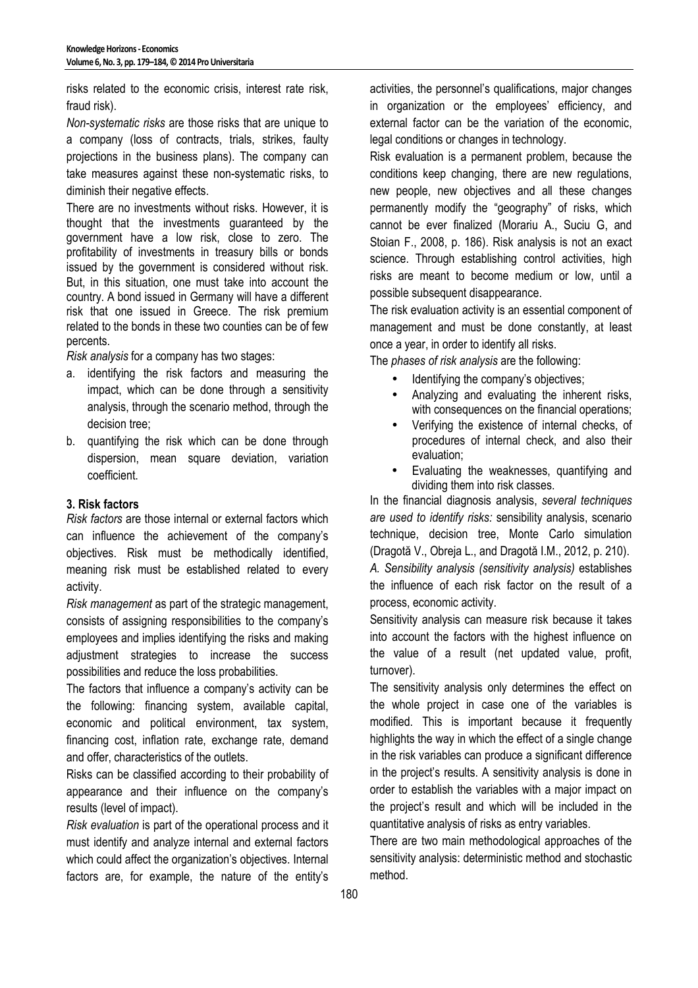risks related to the economic crisis, interest rate risk, fraud risk).

*Non-systematic risks* are those risks that are unique to a company (loss of contracts, trials, strikes, faulty projections in the business plans). The company can take measures against these non-systematic risks, to diminish their negative effects.

There are no investments without risks. However, it is thought that the investments guaranteed by the government have a low risk, close to zero. The profitability of investments in treasury bills or bonds issued by the government is considered without risk. But, in this situation, one must take into account the country. A bond issued in Germany will have a different risk that one issued in Greece. The risk premium related to the bonds in these two counties can be of few percents.

*Risk analysis* for a company has two stages:

- a. identifying the risk factors and measuring the impact, which can be done through a sensitivity analysis, through the scenario method, through the decision tree;
- b. quantifying the risk which can be done through dispersion, mean square deviation, variation coefficient.

### **3. Risk factors**

*Risk factors* are those internal or external factors which can influence the achievement of the company's objectives. Risk must be methodically identified, meaning risk must be established related to every activity.

*Risk management* as part of the strategic management, consists of assigning responsibilities to the company's employees and implies identifying the risks and making adjustment strategies to increase the success possibilities and reduce the loss probabilities.

The factors that influence a company's activity can be the following: financing system, available capital, economic and political environment, tax system, financing cost, inflation rate, exchange rate, demand and offer, characteristics of the outlets.

Risks can be classified according to their probability of appearance and their influence on the company's results (level of impact).

*Risk evaluation* is part of the operational process and it must identify and analyze internal and external factors which could affect the organization's objectives. Internal factors are, for example, the nature of the entity's

activities, the personnel's qualifications, major changes in organization or the employees' efficiency, and external factor can be the variation of the economic, legal conditions or changes in technology.

Risk evaluation is a permanent problem, because the conditions keep changing, there are new regulations, new people, new objectives and all these changes permanently modify the "geography" of risks, which cannot be ever finalized (Morariu A., Suciu G, and Stoian F., 2008, p. 186). Risk analysis is not an exact science. Through establishing control activities, high risks are meant to become medium or low, until a possible subsequent disappearance.

The risk evaluation activity is an essential component of management and must be done constantly, at least once a year, in order to identify all risks.

The *phases of risk analysis* are the following:

- Identifying the company's objectives;
- Analyzing and evaluating the inherent risks, with consequences on the financial operations;
- Verifying the existence of internal checks, of procedures of internal check, and also their evaluation;
- Evaluating the weaknesses, quantifying and dividing them into risk classes.

In the financial diagnosis analysis, *several techniques are used to identify risks:* sensibility analysis, scenario technique, decision tree, Monte Carlo simulation (Dragotă V., Obreja L., and Dragotă I.M., 2012, p. 210). *A. Sensibility analysis (sensitivity analysis)* establishes the influence of each risk factor on the result of a process, economic activity.

Sensitivity analysis can measure risk because it takes into account the factors with the highest influence on the value of a result (net updated value, profit, turnover).

The sensitivity analysis only determines the effect on the whole project in case one of the variables is modified. This is important because it frequently highlights the way in which the effect of a single change in the risk variables can produce a significant difference in the project's results. A sensitivity analysis is done in order to establish the variables with a major impact on the project's result and which will be included in the quantitative analysis of risks as entry variables.

There are two main methodological approaches of the sensitivity analysis: deterministic method and stochastic method.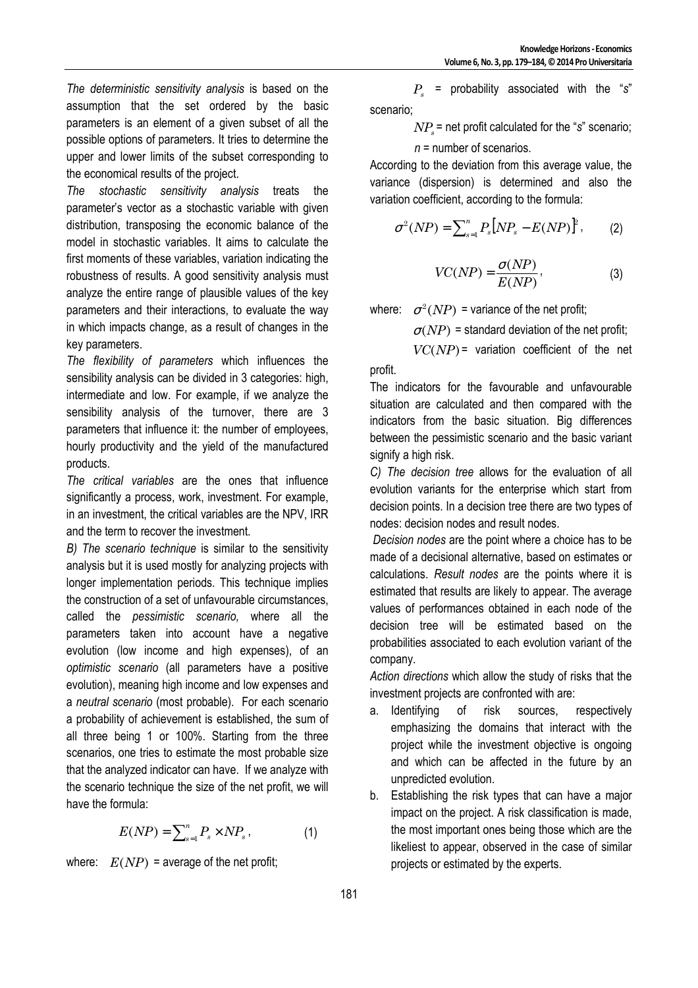*The deterministic sensitivity analysis* is based on the assumption that the set ordered by the basic parameters is an element of a given subset of all the possible options of parameters. It tries to determine the upper and lower limits of the subset corresponding to the economical results of the project.

*The stochastic sensitivity analysis* treats the parameter's vector as a stochastic variable with given distribution, transposing the economic balance of the model in stochastic variables. It aims to calculate the first moments of these variables, variation indicating the robustness of results. A good sensitivity analysis must analyze the entire range of plausible values of the key parameters and their interactions, to evaluate the way in which impacts change, as a result of changes in the key parameters.

*The flexibility of parameters* which influences the sensibility analysis can be divided in 3 categories: high, intermediate and low. For example, if we analyze the sensibility analysis of the turnover, there are 3 parameters that influence it: the number of employees, hourly productivity and the yield of the manufactured products.

*The critical variables* are the ones that influence significantly a process, work, investment. For example, in an investment, the critical variables are the NPV, IRR and the term to recover the investment.

*B) The scenario technique* is similar to the sensitivity analysis but it is used mostly for analyzing projects with longer implementation periods. This technique implies the construction of a set of unfavourable circumstances, called the *pessimistic scenario,* where all the parameters taken into account have a negative evolution (low income and high expenses), of an *optimistic scenario* (all parameters have a positive evolution), meaning high income and low expenses and a *neutral scenario* (most probable). For each scenario a probability of achievement is established, the sum of all three being 1 or 100%. Starting from the three scenarios, one tries to estimate the most probable size that the analyzed indicator can have. If we analyze with the scenario technique the size of the net profit, we will have the formula:

$$
E(NP) = \sum_{s=1}^{n} P_s \times NP_s , \qquad (1)
$$

where:  $E(NP)$  = average of the net profit;

*Ps* = probability associated with the "*s*" scenario;

*NP<sup>s</sup>* = net profit calculated for the "*s*" scenario;

$$
n =
$$
 number of scenarios.

According to the deviation from this average value, the variance (dispersion) is determined and also the variation coefficient, according to the formula:

$$
\sigma^{2}(NP) = \sum_{s=1}^{n} P_{s} [NP_{s} - E(NP)]^{2}, \qquad (2)
$$

$$
VC(NP) = \frac{\sigma(NP)}{E(NP)},
$$
\n(3)

where:  $\sigma^2(NP)$  = variance of the net profit;

 $\sigma(NP)$  = standard deviation of the net profit;

 $VC(NP)$  = variation coefficient of the net

profit.

The indicators for the favourable and unfavourable situation are calculated and then compared with the indicators from the basic situation. Big differences between the pessimistic scenario and the basic variant signify a high risk.

*C) The decision tree* allows for the evaluation of all evolution variants for the enterprise which start from decision points. In a decision tree there are two types of nodes: decision nodes and result nodes.

*Decision nodes* are the point where a choice has to be made of a decisional alternative, based on estimates or calculations. *Result nodes* are the points where it is estimated that results are likely to appear. The average values of performances obtained in each node of the decision tree will be estimated based on the probabilities associated to each evolution variant of the company.

*Action directions* which allow the study of risks that the investment projects are confronted with are:

- a. Identifying of risk sources, respectively emphasizing the domains that interact with the project while the investment objective is ongoing and which can be affected in the future by an unpredicted evolution.
- b. Establishing the risk types that can have a major impact on the project. A risk classification is made, the most important ones being those which are the likeliest to appear, observed in the case of similar projects or estimated by the experts.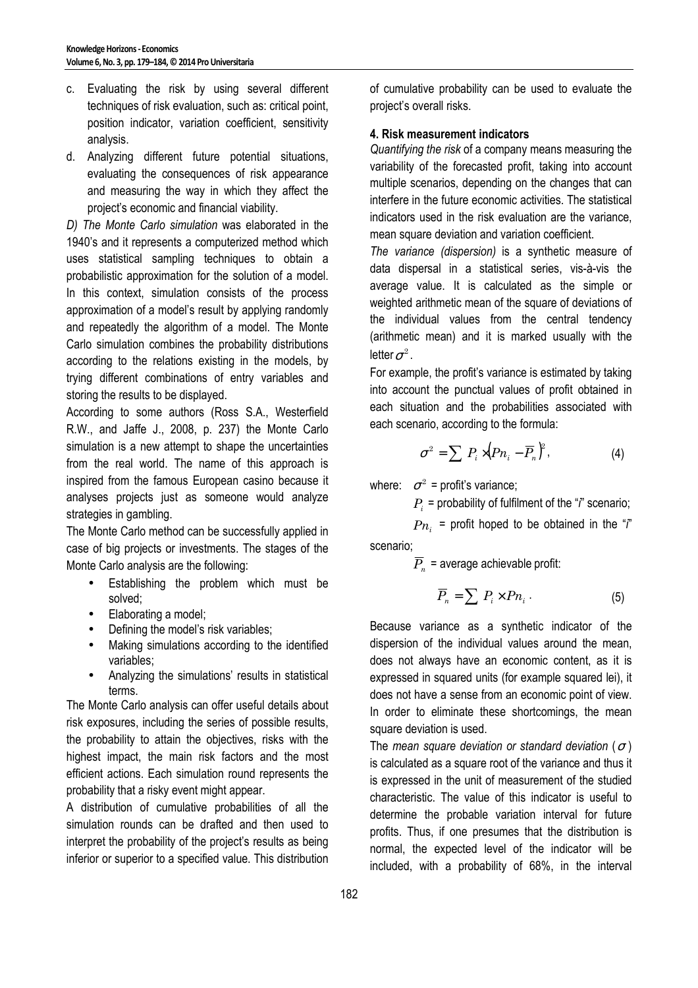- c. Evaluating the risk by using several different techniques of risk evaluation, such as: critical point, position indicator, variation coefficient, sensitivity analysis.
- d. Analyzing different future potential situations, evaluating the consequences of risk appearance and measuring the way in which they affect the project's economic and financial viability.

*D) The Monte Carlo simulation* was elaborated in the 1940's and it represents a computerized method which uses statistical sampling techniques to obtain a probabilistic approximation for the solution of a model. In this context, simulation consists of the process approximation of a model's result by applying randomly and repeatedly the algorithm of a model. The Monte Carlo simulation combines the probability distributions according to the relations existing in the models, by trying different combinations of entry variables and storing the results to be displayed.

According to some authors (Ross S.A., Westerfield R.W., and Jaffe J., 2008, p. 237) the Monte Carlo simulation is a new attempt to shape the uncertainties from the real world. The name of this approach is inspired from the famous European casino because it analyses projects just as someone would analyze strategies in gambling.

The Monte Carlo method can be successfully applied in case of big projects or investments. The stages of the Monte Carlo analysis are the following:

- Establishing the problem which must be solved;
- Elaborating a model;
- Defining the model's risk variables;
- Making simulations according to the identified variables;
- Analyzing the simulations' results in statistical terms.

The Monte Carlo analysis can offer useful details about risk exposures, including the series of possible results, the probability to attain the objectives, risks with the highest impact, the main risk factors and the most efficient actions. Each simulation round represents the probability that a risky event might appear.

A distribution of cumulative probabilities of all the simulation rounds can be drafted and then used to interpret the probability of the project's results as being inferior or superior to a specified value. This distribution of cumulative probability can be used to evaluate the project's overall risks.

### **4. Risk measurement indicators**

*Quantifying the risk* of a company means measuring the variability of the forecasted profit, taking into account multiple scenarios, depending on the changes that can interfere in the future economic activities. The statistical indicators used in the risk evaluation are the variance, mean square deviation and variation coefficient.

*The variance (dispersion)* is a synthetic measure of data dispersal in a statistical series, vis-à-vis the average value. It is calculated as the simple or weighted arithmetic mean of the square of deviations of the individual values from the central tendency (arithmetic mean) and it is marked usually with the letter  $\sigma^2$ 

For example, the profit's variance is estimated by taking into account the punctual values of profit obtained in each situation and the probabilities associated with each scenario, according to the formula:

$$
\sigma^2 = \sum P_i \times (P n_i - \overline{P}_n)^2, \qquad (4)
$$

where:  $\sigma^2$  = profit's variance;

*Pi* = probability of fulfilment of the "*i*" scenario;

 $Pn_i$  = profit hoped to be obtained in the "*i*" scenario;

 $P_n$  = average achievable profit:

$$
\overline{P}_n = \sum P_i \times P n_i \,. \tag{5}
$$

Because variance as a synthetic indicator of the dispersion of the individual values around the mean, does not always have an economic content, as it is expressed in squared units (for example squared lei), it does not have a sense from an economic point of view. In order to eliminate these shortcomings, the mean square deviation is used.

The *mean square deviation or standard deviation* ( $\sigma$ ) is calculated as a square root of the variance and thus it is expressed in the unit of measurement of the studied characteristic. The value of this indicator is useful to determine the probable variation interval for future profits. Thus, if one presumes that the distribution is normal, the expected level of the indicator will be included, with a probability of 68%, in the interval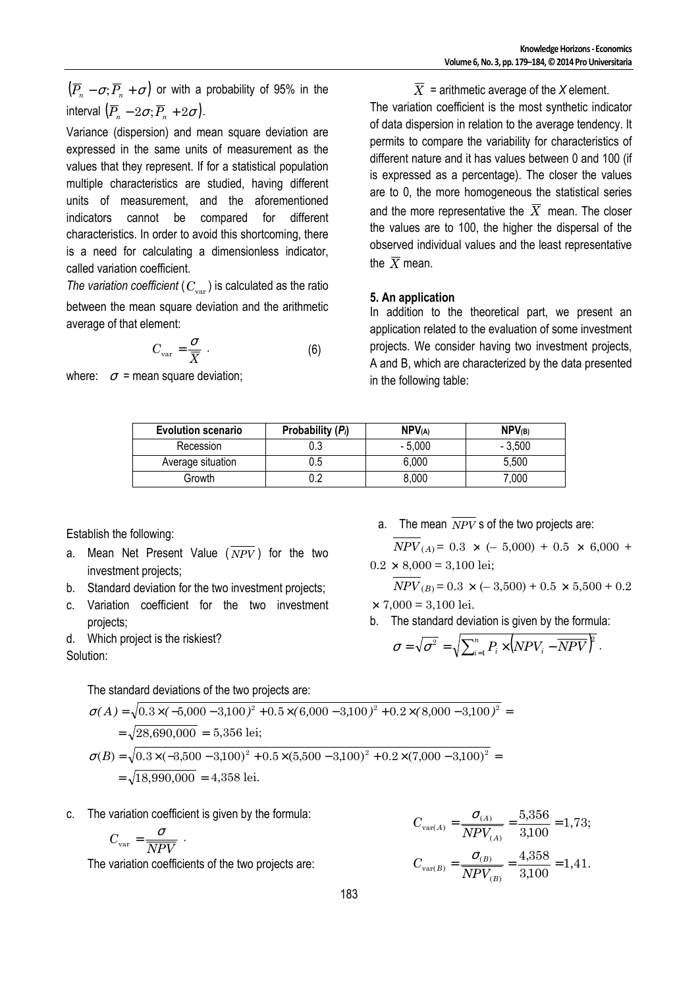$\left( \overline{P}_{\!\!n}\,-\sigma;\overline{P}_{\!\!n}\,+\sigma\right)$  or with a probability of 95% in the interval  $\left(\overline{P}_n - 2\sigma; \overline{P}_n + 2\sigma\right)$ .

Variance (dispersion) and mean square deviation are expressed in the same units of measurement as the values that they represent. If for a statistical population multiple characteristics are studied, having different units of measurement, and the aforementioned indicators cannot be compared for different characteristics. In order to avoid this shortcoming, there is a need for calculating a dimensionless indicator, called variation coefficient.

*The variation coefficient* ( $C_{\text{var}}$ ) is calculated as the ratio between the mean square deviation and the arithmetic average of that element:

$$
C_{\text{var}} = \frac{\sigma}{\overline{X}} \tag{6}
$$

where:  $\sigma$  = mean square deviation:

 $\overline{X}$  = arithmetic average of the *X* element. The variation coefficient is the most synthetic indicator of data dispersion in relation to the average tendency. It permits to compare the variability for characteristics of different nature and it has values between 0 and 100 (if is expressed as a percentage). The closer the values are to 0, the more homogeneous the statistical series and the more representative the  $\overline{X}$  mean. The closer the values are to 100, the higher the dispersal of the observed individual values and the least representative the  $\bar{X}$  mean.

#### **5. An application**

In addition to the theoretical part, we present an application related to the evaluation of some investment projects. We consider having two investment projects, A and B, which are characterized by the data presented in the following table:

| <b>Evolution scenario</b> | Probability $(P_i)$ | NPV <sub>(A)</sub> | NPV(B)   |
|---------------------------|---------------------|--------------------|----------|
| Recession                 |                     | $-5.000$           | $-3.500$ |
| Average situation         | 0.5                 | 6,000              | 5,500    |
| Growth                    |                     | 8,000              | 7,000    |

Establish the following:

- a. Mean Net Present Value  $(\overline{NPV})$  for the two investment projects;
- b. Standard deviation for the two investment projects;
- c. Variation coefficient for the two investment projects;
- d. Which project is the riskiest?

Solution:

The standard deviations of the two projects are:

$$
\sigma(A) = \sqrt{0.3 \times (-5,000 - 3,100)^2 + 0.5 \times (6,000 - 3,100)^2 + 0.2 \times (8,000 - 3,100)^2} =
$$
  
=  $\sqrt{28,690,000} = 5,356$  lei;  

$$
\sigma(B) = \sqrt{0.3 \times (-3,500 - 3,100)^2 + 0.5 \times (5,500 - 3,100)^2 + 0.2 \times (7,000 - 3,100)^2} =
$$
  
=  $\sqrt{18,990,000} = 4,358$  lei.

c. The variation coefficient is given by the formula:

$$
C_{\text{var}} = \frac{\sigma}{\overline{NPV}} \; .
$$

The variation coefficients of the two projects are:

a. The mean  $\overline{NPV}$  s of the two projects are:  $\overline{NDV}$   $\alpha = 0.3 \times (–5,000) + 0.5 \times 6,000 +$ 

$$
NPV (A) = 0.3 \times (-5,000) + 0.5 \times 6,000 + 0.2 \times 8,000 = 3,100 \text{ lei};
$$

$$
NPV_{(B)} = 0.3 \times (-3,500) + 0.5 \times 5,500 + 0.2
$$
  
× 7,000 = 3,100 lei.

b. The standard deviation is given by the formula:

$$
\sigma = \sqrt{\sigma^2} = \sqrt{\sum_{i=1}^n P_i \times (NPV_i - \overline{NPV})^2}.
$$

$$
C_{\text{var}(A)} = \frac{\sigma_{(A)}}{NPV_{(A)}} = \frac{5,356}{3,100} = 1,73;
$$
  

$$
C_{\text{var}(B)} = \frac{\sigma_{(B)}}{NPV_{(B)}} = \frac{4,358}{3,100} = 1,41.
$$